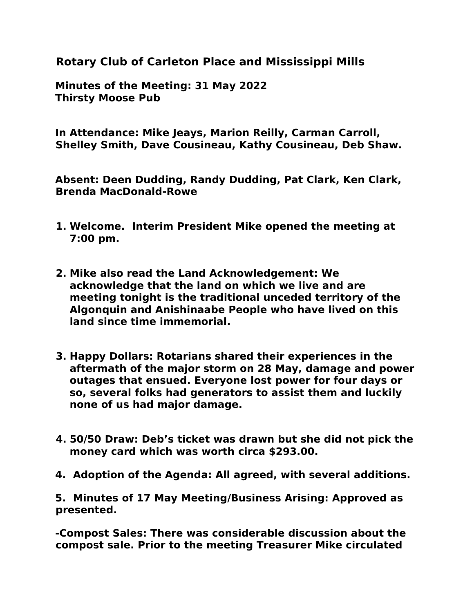**Rotary Club of Carleton Place and Mississippi Mills**

**Minutes of the Meeting: 31 May 2022 Thirsty Moose Pub**

**In Attendance: Mike Jeays, Marion Reilly, Carman Carroll, Shelley Smith, Dave Cousineau, Kathy Cousineau, Deb Shaw.**

**Absent: Deen Dudding, Randy Dudding, Pat Clark, Ken Clark, Brenda MacDonald-Rowe** 

- **1. Welcome. Interim President Mike opened the meeting at 7:00 pm.**
- **2. Mike also read the Land Acknowledgement: We acknowledge that the land on which we live and are meeting tonight is the traditional unceded territory of the Algonquin and Anishinaabe People who have lived on this land since time immemorial.**
- **3. Happy Dollars: Rotarians shared their experiences in the aftermath of the major storm on 28 May, damage and power outages that ensued. Everyone lost power for four days or so, several folks had generators to assist them and luckily none of us had major damage.**
- **4. 50/50 Draw: Deb's ticket was drawn but she did not pick the money card which was worth circa \$293.00.**
- **4. Adoption of the Agenda: All agreed, with several additions.**

**5. Minutes of 17 May Meeting/Business Arising: Approved as presented.**

**-Compost Sales: There was considerable discussion about the compost sale. Prior to the meeting Treasurer Mike circulated**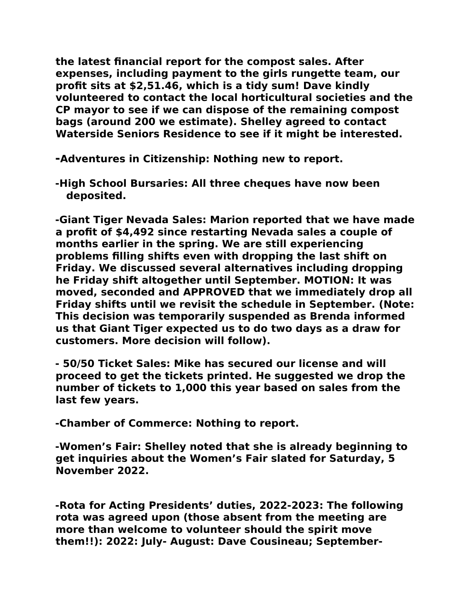**the latest financial report for the compost sales. After expenses, including payment to the girls rungette team, our profit sits at \$2,51.46, which is a tidy sum! Dave kindly volunteered to contact the local horticultural societies and the CP mayor to see if we can dispose of the remaining compost bags (around 200 we estimate). Shelley agreed to contact Waterside Seniors Residence to see if it might be interested.**

**-Adventures in Citizenship: Nothing new to report.** 

**-High School Bursaries: All three cheques have now been deposited.**

**-Giant Tiger Nevada Sales: Marion reported that we have made a profit of \$4,492 since restarting Nevada sales a couple of months earlier in the spring. We are still experiencing problems filling shifts even with dropping the last shift on Friday. We discussed several alternatives including dropping he Friday shift altogether until September. MOTION: It was moved, seconded and APPROVED that we immediately drop all Friday shifts until we revisit the schedule in September. (Note: This decision was temporarily suspended as Brenda informed us that Giant Tiger expected us to do two days as a draw for customers. More decision will follow).**

**- 50/50 Ticket Sales: Mike has secured our license and will proceed to get the tickets printed. He suggested we drop the number of tickets to 1,000 this year based on sales from the last few years.**

**-Chamber of Commerce: Nothing to report.**

**-Women's Fair: Shelley noted that she is already beginning to get inquiries about the Women's Fair slated for Saturday, 5 November 2022.** 

**-Rota for Acting Presidents' duties, 2022-2023: The following rota was agreed upon (those absent from the meeting are more than welcome to volunteer should the spirit move them!!): 2022: July- August: Dave Cousineau; September-**